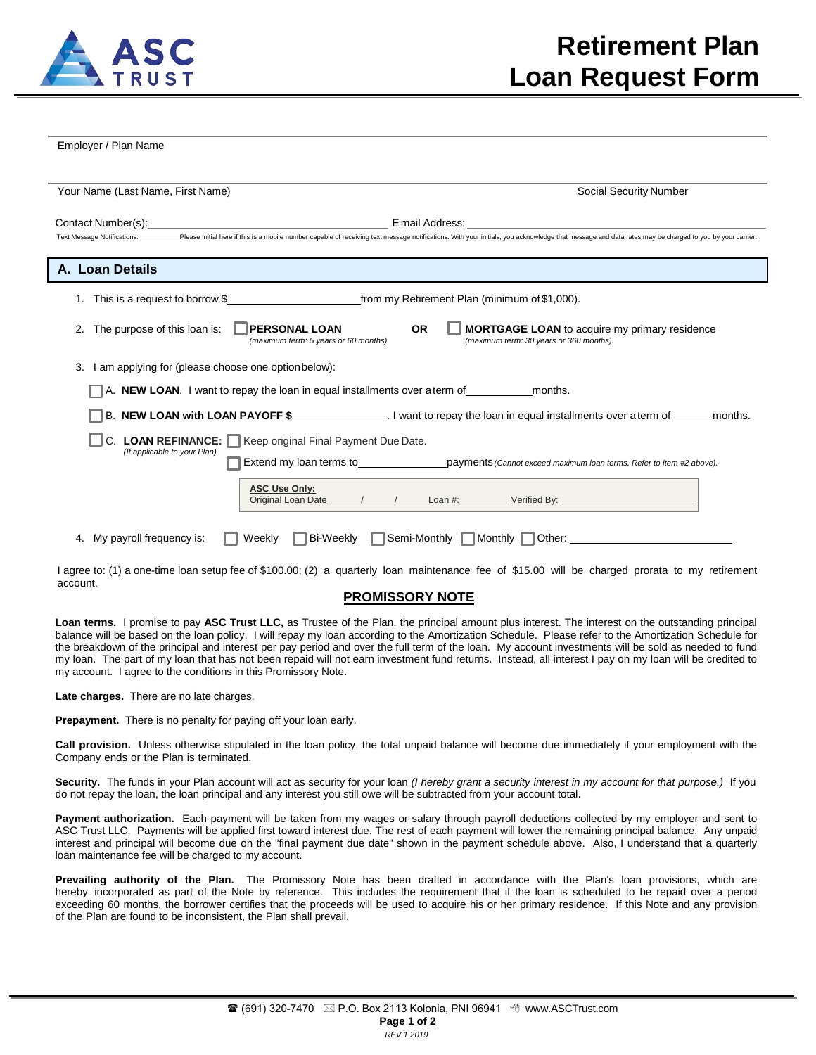

Employer / Plan Name

| Your Name (Last Name, First Name)                                                                                                                                                                                              | Social Security Number                                                                                |  |  |  |  |
|--------------------------------------------------------------------------------------------------------------------------------------------------------------------------------------------------------------------------------|-------------------------------------------------------------------------------------------------------|--|--|--|--|
|                                                                                                                                                                                                                                |                                                                                                       |  |  |  |  |
| Text Message Notifications: Please initial here if this is a mobile number capable of receiving text message notifications. With your initials, you acknowledge that message and data rates may be charged to you by your carr |                                                                                                       |  |  |  |  |
| A. Loan Details                                                                                                                                                                                                                |                                                                                                       |  |  |  |  |
| This is a request to borrow \$ from my Retirement Plan (minimum of \$1,000).<br>1.                                                                                                                                             |                                                                                                       |  |  |  |  |
| The purpose of this loan is:   PERSONAL LOAN<br><b>OR</b><br><b>MORTGAGE LOAN</b> to acquire my primary residence<br>(maximum term: 30 years or 360 months).<br>(maximum term: 5 years or 60 months).                          |                                                                                                       |  |  |  |  |
| 3. I am applying for (please choose one option below):                                                                                                                                                                         |                                                                                                       |  |  |  |  |
| $A$ . <b>NEW LOAN</b> . I want to repay the loan in equal installments over a term of months.                                                                                                                                  |                                                                                                       |  |  |  |  |
| months.                                                                                                                                                                                                                        |                                                                                                       |  |  |  |  |
| $\Box$ C. LOAN REFINANCE: $\Box$ Keep original Final Payment Due Date.<br>(If applicable to your Plan)                                                                                                                         |                                                                                                       |  |  |  |  |
|                                                                                                                                                                                                                                | Extend my loan terms to exercise payments (Cannot exceed maximum loan terms. Refer to Item #2 above). |  |  |  |  |
| <b>ASC Use Only:</b>                                                                                                                                                                                                           |                                                                                                       |  |  |  |  |
| 4. My payroll frequency is:                                                                                                                                                                                                    | Weekly Bi-Weekly Semi-Monthly Monthly Other: ___________________________________                      |  |  |  |  |

I agree to: (1) a one-time loan setup fee of \$100.00; (2) a quarterly loan maintenance fee of \$15.00 will be charged prorata to my retirement account.

## **PROMISSORY NOTE**

**Loan terms.** I promise to pay **ASC Trust LLC,** as Trustee of the Plan, the principal amount plus interest. The interest on the outstanding principal balance will be based on the loan policy. I will repay my loan according to the Amortization Schedule. Please refer to the Amortization Schedule for the breakdown of the principal and interest per pay period and over the full term of the loan. My account investments will be sold as needed to fund my loan. The part of my loan that has not been repaid will not earn investment fund returns. Instead, all interest I pay on my loan will be credited to my account. I agree to the conditions in this Promissory Note.

**Late charges.** There are no late charges.

**Prepayment.** There is no penalty for paying off your loan early.

**Call provision.** Unless otherwise stipulated in the loan policy, the total unpaid balance will become due immediately if your employment with the Company ends or the Plan is terminated.

Security. The funds in your Plan account will act as security for your loan (I hereby grant a security interest in my account for that purpose.) If you do not repay the loan, the loan principal and any interest you still owe will be subtracted from your account total.

**Payment authorization.** Each payment will be taken from my wages or salary through payroll deductions collected by my employer and sent to ASC Trust LLC. Payments will be applied first toward interest due. The rest of each payment will lower the remaining principal balance. Any unpaid interest and principal will become due on the "final payment due date" shown in the payment schedule above. Also, I understand that a quarterly loan maintenance fee will be charged to my account.

**Prevailing authority of the Plan.** The Promissory Note has been drafted in accordance with the Plan's loan provisions, which are hereby incorporated as part of the Note by reference. This includes the requirement that if the loan is scheduled to be repaid over a period exceeding 60 months, the borrower certifies that the proceeds will be used to acquire his or her primary residence. If this Note and any provision of the Plan are found to be inconsistent, the Plan shall prevail.